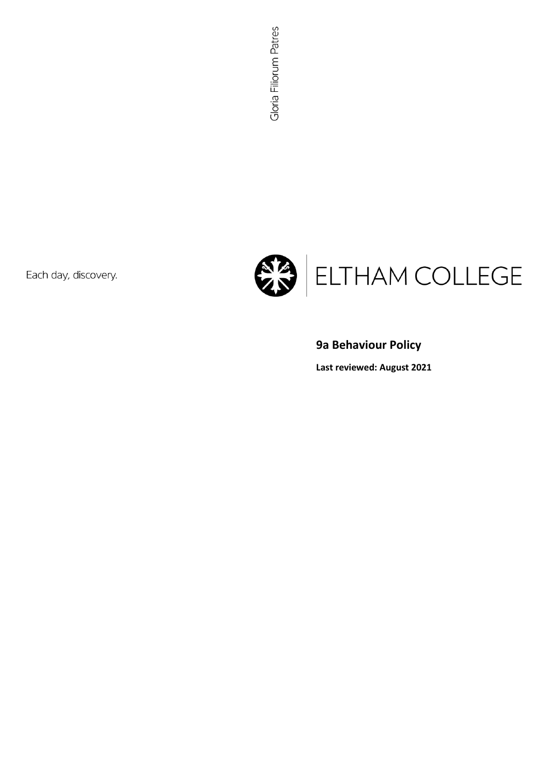Each day, discovery.



# **9a Behaviour Policy**

**Last reviewed: August 2021**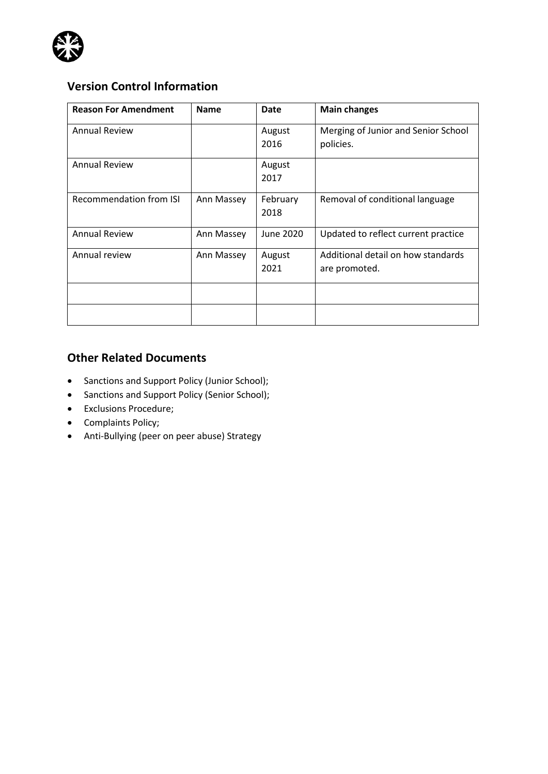

# **Version Control Information**

| <b>Reason For Amendment</b>    | <b>Name</b> | <b>Date</b>      | <b>Main changes</b>                                 |
|--------------------------------|-------------|------------------|-----------------------------------------------------|
| <b>Annual Review</b>           |             | August<br>2016   | Merging of Junior and Senior School<br>policies.    |
| <b>Annual Review</b>           |             | August<br>2017   |                                                     |
| <b>Recommendation from ISI</b> | Ann Massey  | February<br>2018 | Removal of conditional language                     |
| <b>Annual Review</b>           | Ann Massey  | June 2020        | Updated to reflect current practice                 |
| Annual review                  | Ann Massey  | August<br>2021   | Additional detail on how standards<br>are promoted. |
|                                |             |                  |                                                     |
|                                |             |                  |                                                     |

### **Other Related Documents**

- Sanctions and Support Policy (Junior School);
- Sanctions and Support Policy (Senior School);
- Exclusions Procedure;
- Complaints Policy;
- Anti-Bullying (peer on peer abuse) Strategy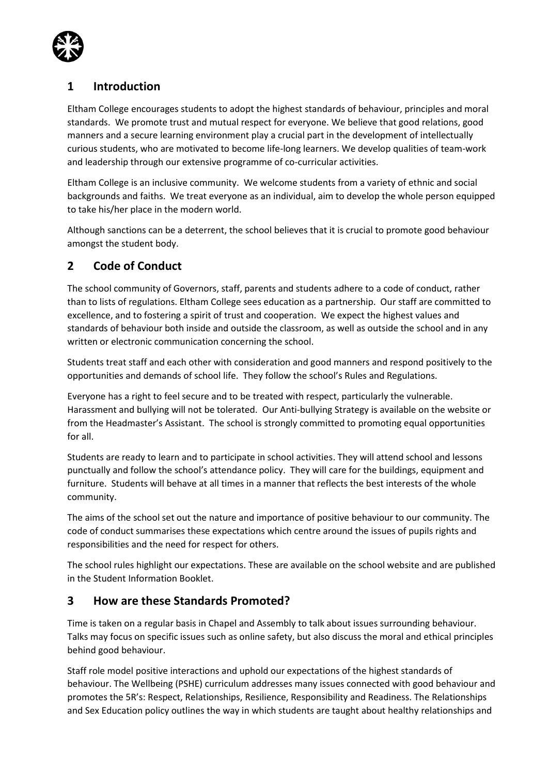

## **1 Introduction**

Eltham College encourages students to adopt the highest standards of behaviour, principles and moral standards. We promote trust and mutual respect for everyone. We believe that good relations, good manners and a secure learning environment play a crucial part in the development of intellectually curious students, who are motivated to become life-long learners. We develop qualities of team-work and leadership through our extensive programme of co-curricular activities.

Eltham College is an inclusive community. We welcome students from a variety of ethnic and social backgrounds and faiths. We treat everyone as an individual, aim to develop the whole person equipped to take his/her place in the modern world.

Although sanctions can be a deterrent, the school believes that it is crucial to promote good behaviour amongst the student body.

## **2 Code of Conduct**

The school community of Governors, staff, parents and students adhere to a code of conduct, rather than to lists of regulations. Eltham College sees education as a partnership. Our staff are committed to excellence, and to fostering a spirit of trust and cooperation. We expect the highest values and standards of behaviour both inside and outside the classroom, as well as outside the school and in any written or electronic communication concerning the school.

Students treat staff and each other with consideration and good manners and respond positively to the opportunities and demands of school life. They follow the school's Rules and Regulations.

Everyone has a right to feel secure and to be treated with respect, particularly the vulnerable. Harassment and bullying will not be tolerated. Our Anti-bullying Strategy is available on the website or from the Headmaster's Assistant. The school is strongly committed to promoting equal opportunities for all.

Students are ready to learn and to participate in school activities. They will attend school and lessons punctually and follow the school's attendance policy. They will care for the buildings, equipment and furniture. Students will behave at all times in a manner that reflects the best interests of the whole community.

The aims of the school set out the nature and importance of positive behaviour to our community. The code of conduct summarises these expectations which centre around the issues of pupils rights and responsibilities and the need for respect for others.

The school rules highlight our expectations. These are available on the school website and are published in the Student Information Booklet.

### **3 How are these Standards Promoted?**

Time is taken on a regular basis in Chapel and Assembly to talk about issues surrounding behaviour. Talks may focus on specific issues such as online safety, but also discuss the moral and ethical principles behind good behaviour.

Staff role model positive interactions and uphold our expectations of the highest standards of behaviour. The Wellbeing (PSHE) curriculum addresses many issues connected with good behaviour and promotes the 5R's: Respect, Relationships, Resilience, Responsibility and Readiness. The Relationships and Sex Education policy outlines the way in which students are taught about healthy relationships and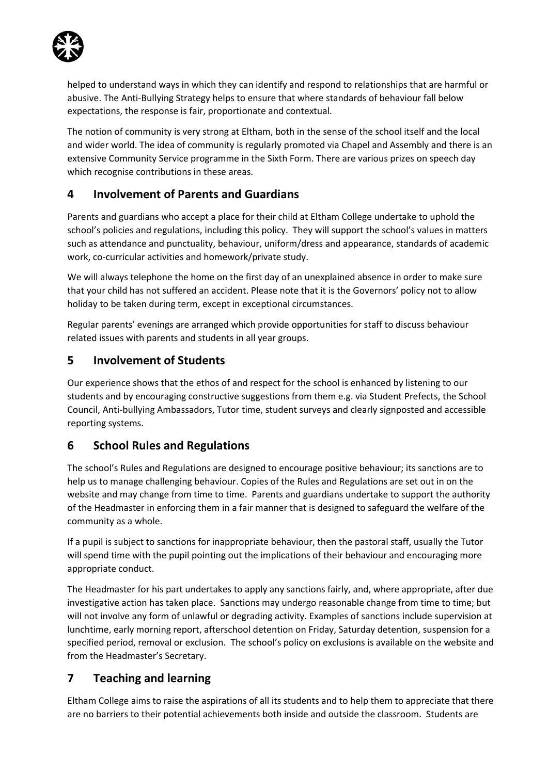

helped to understand ways in which they can identify and respond to relationships that are harmful or abusive. The Anti-Bullying Strategy helps to ensure that where standards of behaviour fall below expectations, the response is fair, proportionate and contextual.

The notion of community is very strong at Eltham, both in the sense of the school itself and the local and wider world. The idea of community is regularly promoted via Chapel and Assembly and there is an extensive Community Service programme in the Sixth Form. There are various prizes on speech day which recognise contributions in these areas.

### **4 Involvement of Parents and Guardians**

Parents and guardians who accept a place for their child at Eltham College undertake to uphold the school's policies and regulations, including this policy. They will support the school's values in matters such as attendance and punctuality, behaviour, uniform/dress and appearance, standards of academic work, co-curricular activities and homework/private study.

We will always telephone the home on the first day of an unexplained absence in order to make sure that your child has not suffered an accident. Please note that it is the Governors' policy not to allow holiday to be taken during term, except in exceptional circumstances.

Regular parents' evenings are arranged which provide opportunities for staff to discuss behaviour related issues with parents and students in all year groups.

## **5 Involvement of Students**

Our experience shows that the ethos of and respect for the school is enhanced by listening to our students and by encouraging constructive suggestions from them e.g. via Student Prefects, the School Council, Anti-bullying Ambassadors, Tutor time, student surveys and clearly signposted and accessible reporting systems.

## **6 School Rules and Regulations**

The school's Rules and Regulations are designed to encourage positive behaviour; its sanctions are to help us to manage challenging behaviour. Copies of the Rules and Regulations are set out in on the website and may change from time to time. Parents and guardians undertake to support the authority of the Headmaster in enforcing them in a fair manner that is designed to safeguard the welfare of the community as a whole.

If a pupil is subject to sanctions for inappropriate behaviour, then the pastoral staff, usually the Tutor will spend time with the pupil pointing out the implications of their behaviour and encouraging more appropriate conduct.

The Headmaster for his part undertakes to apply any sanctions fairly, and, where appropriate, after due investigative action has taken place. Sanctions may undergo reasonable change from time to time; but will not involve any form of unlawful or degrading activity. Examples of sanctions include supervision at lunchtime, early morning report, afterschool detention on Friday, Saturday detention, suspension for a specified period, removal or exclusion. The school's policy on exclusions is available on the website and from the Headmaster's Secretary.

### **7 Teaching and learning**

Eltham College aims to raise the aspirations of all its students and to help them to appreciate that there are no barriers to their potential achievements both inside and outside the classroom. Students are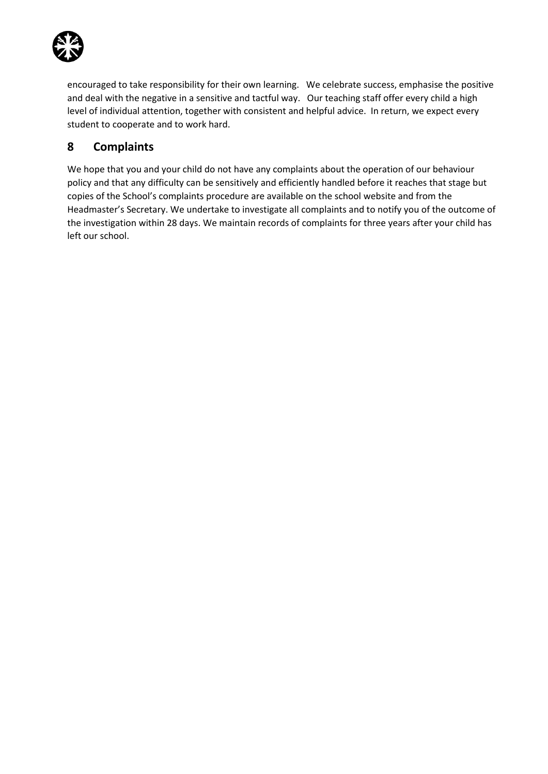

encouraged to take responsibility for their own learning. We celebrate success, emphasise the positive and deal with the negative in a sensitive and tactful way. Our teaching staff offer every child a high level of individual attention, together with consistent and helpful advice. In return, we expect every student to cooperate and to work hard.

## **8 Complaints**

We hope that you and your child do not have any complaints about the operation of our behaviour policy and that any difficulty can be sensitively and efficiently handled before it reaches that stage but copies of the School's complaints procedure are available on the school website and from the Headmaster's Secretary. We undertake to investigate all complaints and to notify you of the outcome of the investigation within 28 days. We maintain records of complaints for three years after your child has left our school.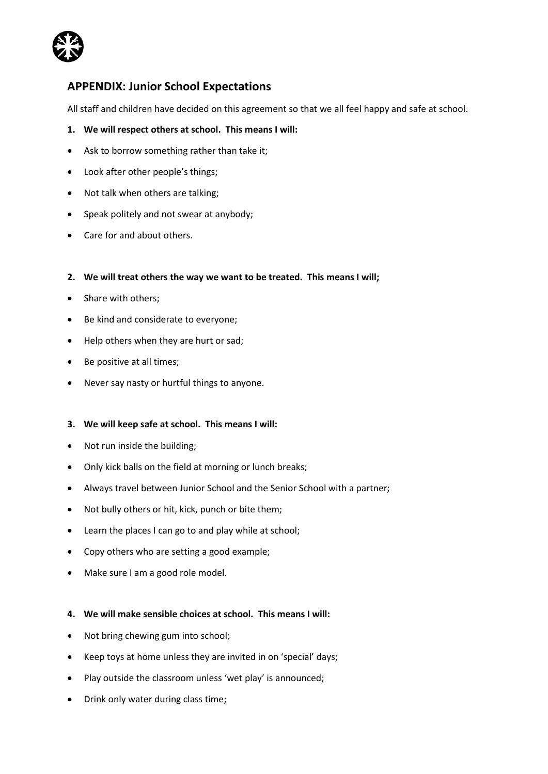

### **APPENDIX: Junior School Expectations**

All staff and children have decided on this agreement so that we all feel happy and safe at school.

- **1. We will respect others at school. This means I will:**
- Ask to borrow something rather than take it;
- Look after other people's things;
- Not talk when others are talking;
- Speak politely and not swear at anybody;
- Care for and about others.
- **2. We will treat others the way we want to be treated. This means I will;**
- Share with others:
- Be kind and considerate to everyone;
- Help others when they are hurt or sad;
- Be positive at all times;
- Never say nasty or hurtful things to anyone.

### **3. We will keep safe at school. This means I will:**

- Not run inside the building;
- Only kick balls on the field at morning or lunch breaks;
- Always travel between Junior School and the Senior School with a partner;
- Not bully others or hit, kick, punch or bite them;
- Learn the places I can go to and play while at school;
- Copy others who are setting a good example;
- Make sure I am a good role model.

### **4. We will make sensible choices at school. This means I will:**

- Not bring chewing gum into school;
- Keep toys at home unless they are invited in on 'special' days;
- Play outside the classroom unless 'wet play' is announced;
- Drink only water during class time;